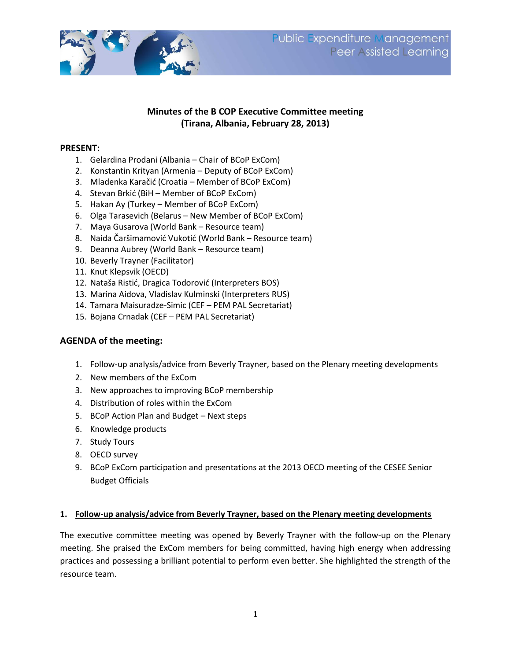

# **Minutes of the B COP Executive Committee meeting (Tirana, Albania, February 28, 2013)**

## **PRESENT:**

- 1. Gelardina Prodani (Albania Chair of BCoP ExCom)
- 2. Konstantin Krityan (Armenia Deputy of BCoP ExCom)
- 3. Mladenka Karačić (Croatia Member of BCoP ExCom)
- 4. Stevan Brkić (BiH Member of BCoP ExCom)
- 5. Hakan Ay (Turkey Member of BCoP ExCom)
- 6. Olga Tarasevich (Belarus New Member of BCoP ExCom)
- 7. Maya Gusarova (World Bank Resource team)
- 8. Naida Čaršimamović Vukotić (World Bank Resource team)
- 9. Deanna Aubrey (World Bank Resource team)
- 10. Beverly Trayner (Facilitator)
- 11. Knut Klepsvik (OECD)
- 12. Nataša Ristić, Dragica Todorović (Interpreters BOS)
- 13. Marina Aidova, Vladislav Kulminski (Interpreters RUS)
- 14. Tamara Maisuradze-Simic (CEF PEM PAL Secretariat)
- 15. Bojana Crnadak (CEF PEM PAL Secretariat)

#### **AGENDA of the meeting:**

- 1. Follow-up analysis/advice from Beverly Trayner, based on the Plenary meeting developments
- 2. New members of the ExCom
- 3. New approaches to improving BCoP membership
- 4. Distribution of roles within the ExCom
- 5. BCoP Action Plan and Budget Next steps
- 6. Knowledge products
- 7. Study Tours
- 8. OECD survey
- 9. BCoP ExCom participation and presentations at the 2013 OECD meeting of the CESEE Senior Budget Officials

#### **1. Follow-up analysis/advice from Beverly Trayner, based on the Plenary meeting developments**

The executive committee meeting was opened by Beverly Trayner with the follow-up on the Plenary meeting. She praised the ExCom members for being committed, having high energy when addressing practices and possessing a brilliant potential to perform even better. She highlighted the strength of the resource team.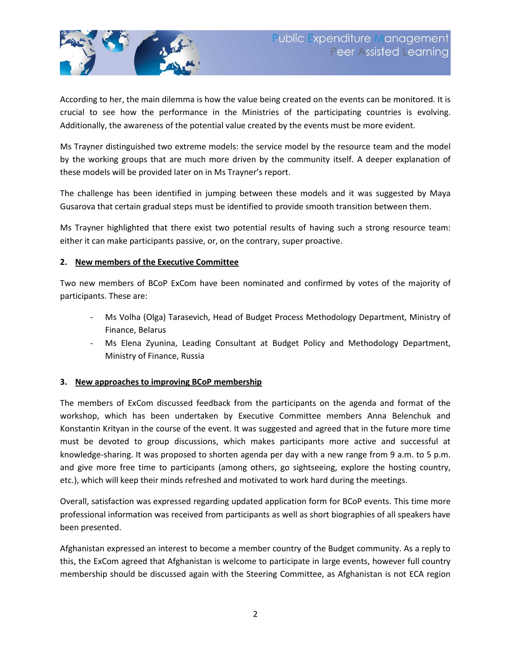

According to her, the main dilemma is how the value being created on the events can be monitored. It is crucial to see how the performance in the Ministries of the participating countries is evolving. Additionally, the awareness of the potential value created by the events must be more evident.

Ms Trayner distinguished two extreme models: the service model by the resource team and the model by the working groups that are much more driven by the community itself. A deeper explanation of these models will be provided later on in Ms Trayner's report.

The challenge has been identified in jumping between these models and it was suggested by Maya Gusarova that certain gradual steps must be identified to provide smooth transition between them.

Ms Trayner highlighted that there exist two potential results of having such a strong resource team: either it can make participants passive, or, on the contrary, super proactive.

## **2. New members of the Executive Committee**

Two new members of BCoP ExCom have been nominated and confirmed by votes of the majority of participants. These are:

- Ms Volha (Olga) Tarasevich, Head of Budget Process Methodology Department, Ministry of Finance, Belarus
- Ms Elena Zyunina, Leading Consultant at Budget Policy and Methodology Department, Ministry of Finance, Russia

#### **3. New approaches to improving BCoP membership**

The members of ExCom discussed feedback from the participants on the agenda and format of the workshop, which has been undertaken by Executive Committee members Anna Belenchuk and Konstantin Krityan in the course of the event. It was suggested and agreed that in the future more time must be devoted to group discussions, which makes participants more active and successful at knowledge-sharing. It was proposed to shorten agenda per day with a new range from 9 a.m. to 5 p.m. and give more free time to participants (among others, go sightseeing, explore the hosting country, etc.), which will keep their minds refreshed and motivated to work hard during the meetings.

Overall, satisfaction was expressed regarding updated application form for BCoP events. This time more professional information was received from participants as well as short biographies of all speakers have been presented.

Afghanistan expressed an interest to become a member country of the Budget community. As a reply to this, the ExCom agreed that Afghanistan is welcome to participate in large events, however full country membership should be discussed again with the Steering Committee, as Afghanistan is not ECA region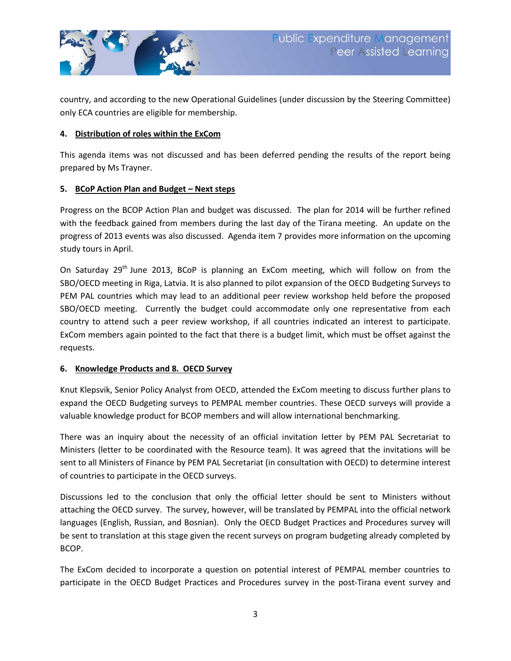

country, and according to the new Operational Guidelines (under discussion by the Steering Committee) only ECA countries are eligible for membership.

#### **4. Distribution of roles within the ExCom**

This agenda items was not discussed and has been deferred pending the results of the report being prepared by Ms Trayner.

## **5. BCoP Action Plan and Budget – Next steps**

Progress on the BCOP Action Plan and budget was discussed. The plan for 2014 will be further refined with the feedback gained from members during the last day of the Tirana meeting. An update on the progress of 2013 events was also discussed. Agenda item 7 provides more information on the upcoming study tours in April.

On Saturday 29<sup>th</sup> June 2013, BCoP is planning an ExCom meeting, which will follow on from the SBO/OECD meeting in Riga, Latvia. It is also planned to pilot expansion of the OECD Budgeting Surveys to PEM PAL countries which may lead to an additional peer review workshop held before the proposed SBO/OECD meeting. Currently the budget could accommodate only one representative from each country to attend such a peer review workshop, if all countries indicated an interest to participate. ExCom members again pointed to the fact that there is a budget limit, which must be offset against the requests.

#### **6. Knowledge Products and 8. OECD Survey**

Knut Klepsvik, Senior Policy Analyst from OECD, attended the ExCom meeting to discuss further plans to expand the OECD Budgeting surveys to PEMPAL member countries. These OECD surveys will provide a valuable knowledge product for BCOP members and will allow international benchmarking.

There was an inquiry about the necessity of an official invitation letter by PEM PAL Secretariat to Ministers (letter to be coordinated with the Resource team). It was agreed that the invitations will be sent to all Ministers of Finance by PEM PAL Secretariat (in consultation with OECD) to determine interest of countries to participate in the OECD surveys.

Discussions led to the conclusion that only the official letter should be sent to Ministers without attaching the OECD survey. The survey, however, will be translated by PEMPAL into the official network languages (English, Russian, and Bosnian). Only the OECD Budget Practices and Procedures survey will be sent to translation at this stage given the recent surveys on program budgeting already completed by BCOP.

The ExCom decided to incorporate a question on potential interest of PEMPAL member countries to participate in the OECD Budget Practices and Procedures survey in the post-Tirana event survey and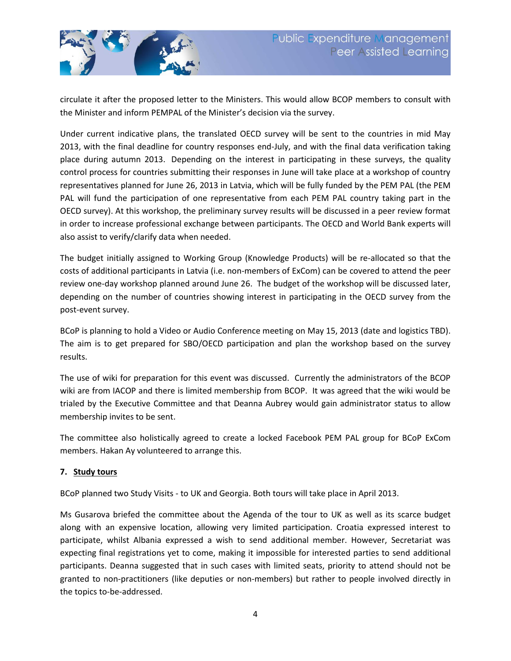

circulate it after the proposed letter to the Ministers. This would allow BCOP members to consult with the Minister and inform PEMPAL of the Minister's decision via the survey.

Under current indicative plans, the translated OECD survey will be sent to the countries in mid May 2013, with the final deadline for country responses end-July, and with the final data verification taking place during autumn 2013. Depending on the interest in participating in these surveys, the quality control process for countries submitting their responses in June will take place at a workshop of country representatives planned for June 26, 2013 in Latvia, which will be fully funded by the PEM PAL (the PEM PAL will fund the participation of one representative from each PEM PAL country taking part in the OECD survey). At this workshop, the preliminary survey results will be discussed in a peer review format in order to increase professional exchange between participants. The OECD and World Bank experts will also assist to verify/clarify data when needed.

The budget initially assigned to Working Group (Knowledge Products) will be re-allocated so that the costs of additional participants in Latvia (i.e. non-members of ExCom) can be covered to attend the peer review one-day workshop planned around June 26. The budget of the workshop will be discussed later, depending on the number of countries showing interest in participating in the OECD survey from the post-event survey.

BCoP is planning to hold a Video or Audio Conference meeting on May 15, 2013 (date and logistics TBD). The aim is to get prepared for SBO/OECD participation and plan the workshop based on the survey results.

The use of wiki for preparation for this event was discussed. Currently the administrators of the BCOP wiki are from IACOP and there is limited membership from BCOP. It was agreed that the wiki would be trialed by the Executive Committee and that Deanna Aubrey would gain administrator status to allow membership invites to be sent.

The committee also holistically agreed to create a locked Facebook PEM PAL group for BCoP ExCom members. Hakan Ay volunteered to arrange this.

## **7. Study tours**

BCoP planned two Study Visits - to UK and Georgia. Both tours will take place in April 2013.

Ms Gusarova briefed the committee about the Agenda of the tour to UK as well as its scarce budget along with an expensive location, allowing very limited participation. Croatia expressed interest to participate, whilst Albania expressed a wish to send additional member. However, Secretariat was expecting final registrations yet to come, making it impossible for interested parties to send additional participants. Deanna suggested that in such cases with limited seats, priority to attend should not be granted to non-practitioners (like deputies or non-members) but rather to people involved directly in the topics to-be-addressed.